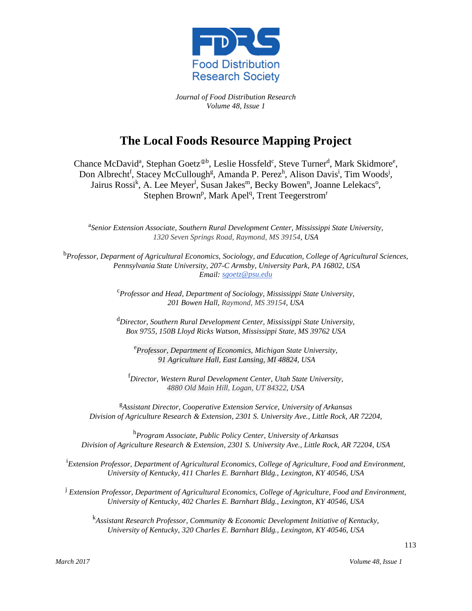

*Journal of Food Distribution Research Volume 48, Issue 1*

## **The Local Foods Resource Mapping Project**

Chance McDavid<sup>a</sup>, Stephan Goetz<sup>®b</sup>, Leslie Hossfeld<sup>c</sup>, Steve Turner<sup>d</sup>, Mark Skidmore<sup>e</sup>, Don Albrecht<sup>f</sup>, Stacey McCullough<sup>g</sup>, Amanda P. Perez<sup>h</sup>, Alison Davis<sup>i</sup>, Tim Woods<sup>j</sup>, Jairus Rossi<sup>k</sup>, A. Lee Meyer<sup>l</sup>, Susan Jakes<sup>m</sup>, Becky Bowen<sup>n</sup>, Joanne Lelekacs<sup>o</sup>, Stephen Brown<sup>p</sup>, Mark Apel<sup>q</sup>, Trent Teegerstrom<sup>r</sup>

a *Senior Extension Associate, Southern Rural Development Center, Mississippi State University, 1320 Seven Springs Road, Raymond, MS 39154, USA* 

b *Professor, Deparment of Agricultural Economics, Sociology, and Education, College of Agricultural Sciences, Pennsylvania State University, 207-C Armsby, University Park, PA 16802, USA Email: [sgoetz@psu.edu](mailto:sgoetz@psu.edu)*

> c *Professor and Head, Department of Sociology, Mississippi State University, 201 Bowen Hall, Raymond, MS 39154, USA*

> d *Director, Southern Rural Development Center, Mississippi State University, Box 9755, 150B Lloyd Ricks Watson, Mississippi State, MS 39762 USA*

e *Professor, Department of Economics, Michigan State University, 91 Agriculture Hall, East Lansing, MI 48824, USA* 

f *Director, Western Rural Development Center, Utah State University, 4880 Old Main Hill, Logan, UT 84322, USA* 

g *Assistant Director, Cooperative Extension Service, University of Arkansas Division of Agriculture Research & Extension, 2301 S. University Ave., Little Rock, AR 72204,* 

h *Program Associate, Public Policy Center, University of Arkansas Division of Agriculture Research & Extension, 2301 S. University Ave., Little Rock, AR 72204, USA*

<sup>i</sup> Extension Professor, Department of Agricultural Economics, College of Agriculture, Food and Environment, *University of Kentucky, 411 Charles E. Barnhart Bldg., Lexington, KY 40546, USA* 

<sup>j</sup> *Extension Professor, Department of Agricultural Economics, College of Agriculture, Food and Environment, University of Kentucky, 402 Charles E. Barnhart Bldg., Lexington, KY 40546, USA* 

<sup>k</sup> Assistant Research Professor, Community & Economic Development Initiative of Kentucky, *University of Kentucky, 320 Charles E. Barnhart Bldg., Lexington, KY 40546, USA*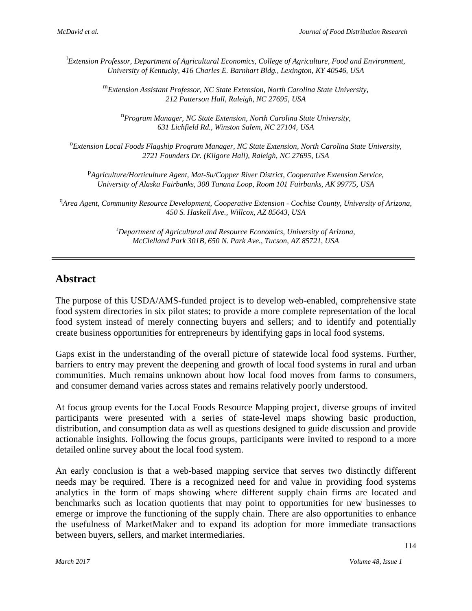<sup>1</sup> Extension Professor, Department of Agricultural Economics, College of Agriculture, Food and Environment, *University of Kentucky, 416 Charles E. Barnhart Bldg., Lexington, KY 40546, USA* 

> <sup>m</sup>*Extension Assistant Professor, NC State Extension, North Carolina State University, 212 Patterson Hall, Raleigh, NC 27695, USA*

n *Program Manager, NC State Extension, North Carolina State University, 631 Lichfield Rd., Winston Salem, NC 27104, USA* 

o *Extension Local Foods Flagship Program Manager, NC State Extension, North Carolina State University, 2721 Founders Dr. (Kilgore Hall), Raleigh, NC 27695, USA* 

p *Agriculture/Horticulture Agent, Mat-Su/Copper River District, Cooperative Extension Service, University of Alaska Fairbanks, 308 Tanana Loop, Room 101 Fairbanks, AK 99775, USA*

q *Area Agent, Community Resource Development, Cooperative Extension - Cochise County, University of Arizona, 450 S. Haskell Ave., Willcox, AZ 85643, USA* 

> r *Department of Agricultural and Resource Economics, University of Arizona, McClelland Park 301B, 650 N. Park Ave., Tucson, AZ 85721, USA*

## **Abstract**

The purpose of this USDA/AMS-funded project is to develop web-enabled, comprehensive state food system directories in six pilot states; to provide a more complete representation of the local food system instead of merely connecting buyers and sellers; and to identify and potentially create business opportunities for entrepreneurs by identifying gaps in local food systems.

Gaps exist in the understanding of the overall picture of statewide local food systems. Further, barriers to entry may prevent the deepening and growth of local food systems in rural and urban communities. Much remains unknown about how local food moves from farms to consumers, and consumer demand varies across states and remains relatively poorly understood.

At focus group events for the Local Foods Resource Mapping project, diverse groups of invited participants were presented with a series of state-level maps showing basic production, distribution, and consumption data as well as questions designed to guide discussion and provide actionable insights. Following the focus groups, participants were invited to respond to a more detailed online survey about the local food system.

An early conclusion is that a web-based mapping service that serves two distinctly different needs may be required. There is a recognized need for and value in providing food systems analytics in the form of maps showing where different supply chain firms are located and benchmarks such as location quotients that may point to opportunities for new businesses to emerge or improve the functioning of the supply chain. There are also opportunities to enhance the usefulness of MarketMaker and to expand its adoption for more immediate transactions between buyers, sellers, and market intermediaries.